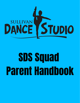

# **SDS Squad** Parent Handbook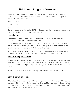# **SDS Squad Program Overview**

The SDS Squad program was created in 2019 to meet the need of the community to provide a safe, fun environment for busy parents and active students. It has grown into offering the following 3 programs:

After-School Care No-School Day Camp Summer Camp

Our programs are not licensed by DCFS, but because we follow their guidelines, we have passed regulations to receive an approved exemption.

## **Enrollment**

Registrations are processed in our online registration system, Dance Studio Pro: https://dancestudio-pro.com/online/sullivan5678

Due to DCFS requirements there is an additional enrollment form that must be filled out as well. This can be emailed, mailed, or picked up/dropped off at the front desk of the studio. This must be completed BEFORE your child can attend.

Those entering Kindergarten - 8th grade in the fall are welcome! Unfortunately, due to DCFS regulations we can NOT accommodate preschool-aged kids at this time.

#### **Fees & Billing Procedures**

Weekly payments will be automatically charged to your saved payment method the Friday BEFORE each week of the program. Participants will be charged whether they attend or not. There will be no charge during closed holidays such as the 4th of July and Christmas Break.

There is a \$15 late fee for any declined payment. There is a \$5 late pick up fee.

## **Staff & Communication**

All SDS Squad Leaders are at least 21 years of age and CPR/First Aid certified. We do not exceed a 1:20 ratio of SDS Squad Leaders to children. Often times, especially during field trips and swim days, we utilize younger SDS Squad Assistants and SDS Squad Adult Staff Members as additional helpers to a leader.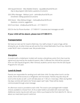- SDS Squad Director Miss Maddie Dickens squad@sullivan5678.com *Day to day program information, questions, & concerns*
- SDS Office Manager Melissa Lynch admin@sullivan5678.com *Enrollment / Billing questions & concerns*
- SDS Owner Miss Melissa Krieger melissa@sullivan5678.com *Questions, concerns, suggestions*
- SDS Front Desk info@sullivan5678.com 217-728-9111

SDS On the Go Phone Number - 217-909-9111 (receives text messages as well)

#### **If your child will be absent, please text 217-909-9111.**

## **Transportation**

We have our own van for travel to field trips. Our staff, at least 21 years of age, will be driving the van. At other times we will use the First United Methodist Church bus. Kids 8 & under MUST ride in a booster seat. We provide these.

## **Discipline**

A student with a misbehavior incident will receive a disciplinary action form that must be signed and returned by the student & parent. After 3 offenses the child will be removed from our SDS Squad programs. After removal, students cannot return the the SDS Squad Programs for one year.

## **Lunch & Snack**

Parents are responsible for sending lunch with their child. On days when lunch is at the studio, there will be access to a refrigerator and microwave. Parents may also drop off lunch at the studio as well. Lunch will take place at 11:00 a.m. most days. Often during field trip days, lunches will need to be "brown paper sack" style. These will be clearly communicated through a text message.

An afternoon snack is provided to each child. The snack is pre-packaged with multiple choices available to choose from. An 8 oz water bottle is provided with snack each day. Additional snacks may be sent with your child or purchased at the front desk for \$1. Ask us about our snack barre punch cards too!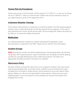## **Parent Pick Up Procedures**

Parents may come to the front desk, call the studio at 217-728-9111, or text our on-the-go line at 217-909-9111 when you have arrived. Children will only be released to those on your approved pick up list on the registration form.

#### **Inclement Weather Closings**

If the Sullivan School District is closed due to inclement weather, the SDS Squad programs will also close. A credit will be given for that day towards future programs. In the case of early dismissal from school, we will remain open. We encourage that children be picked up by 3:00 p.m. to ensure the safety of everyone.

#### **Medication**

Our staff will administer medicine to children following DCFS regulations. Extra documentation is required for this FIRST. Please ask our staff for more information.

#### **Student Groups**

**NEW!** Starting this summer, we will be implementing a new grouping policy. We will have two groups: Mini Squad and Junior Squad. Sometimes, but not always, we will be splitting up kids into a younger (Mini) group and an older (Junior) group. This helps us to appropriate activities and trips to the best of our abilities.

#### **Electronics Policy**

We allow children to bring their electronics to our programs; however, they may only be used during specified times. At all other times, students must put all electronics away including, but not limited to: iPads, phones, Gizmo watches (or any smart watch), iPods, laptops, tablets, etc. We are not responsible for these devices. If electronics are used inappropriately or not in accordance to times allowed, we may ban the student from bringing them to SDS.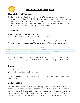

## **Summer Camp Program**

#### **Hours & Days of Operation**

Our Summer Camps take place from 7:30 a.m. - 5:00 p.m. Our schedule runs in accordance to the Sullivan Schools Calendar's scheduled summer break. We are currently scheduled to begin summer camp on Tuesday, May 31st and end on Friday, August 12th. Summer Camp will be open 5 days/week. We will be closed Memorial Day and the Fourth of July. Please see our calendar for the days offered this summer.

## **Enrollment**

There is no payment due at the time of registration. Enrollment is closed at NOON the Friday before camp week.

If attending the entire week choose the green "Enroll in this class" option. If attending only 1-4 days that week choose the blue "Pick dates to drop in" then select your dates.



In the event of program cancellations due to weather cancellations, pandemics, etc. a credit will be applied to your next week of care. Parents must give 2 weeks notice to request a schedule change.

## **Rates**

Daily rate  $= $35$ Weekly 5 day/week discounted rate = \$150

Additional siblings are discounted 20% off if enrolling in the 5 day/week That makes their weekly fee \$120.

## **Daily Schedule**

The Summer Squad Program makes use of weekly themes. We love to schedule field trips, crafts, games, and activities in connection to the theme. In general, each day's schedule looks the same: arrival, calm free time (coloring, board games, book reading, puzzles, etc.), morning meeting, organized activity in relation to the theme, lunch, group craft/game in relation to the theme, afternoon snack, free play, and more. Days are subject to change.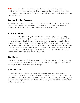**NEW!** Students must arrive at the studio by 9:00 a.m. to ensure participation in all activities/trips. It is the parent's responsibility to transport their child to activities if they arrive any later than 9:00 a.m. On field trip days, we will plan to arrive back at the studio no later than 4:00 p.m.

#### **Summer Reading Program**

We will be participating in the Sullivan library's Summer Reading Program. This will include trips to the library every Monday morning this summer. SDS has our own library card. Students are allowed to check out one book that will stay at the studio.

## **Park & Pool Days**

Park & Pool Days happen weekly on Tuesdays. We will travel to play at a neighboring community park, have lunch (brown paper sack style), and swim at their pool. Miss Melissa is a certified Water Safety Instructor and takes our camp water safety very seriously. Nonswimmers are REQUIRED to bring a USCG approved flotation device with them to wear at all times in the water. Our staff, with lifeguard assistance, will have campers complete swim tests before being allowed to go in deeper water areas / swim withOUT a flotation device. We increase our staff on swim days and they are IN the water with the children. We also implement the buddy system to be used at all times.

## **Field Trips**

We will go on at least one field trip per week, most often happening on Thursdays. During field trips, the kids will wear provided Summer Camp t-shirts. We supply and wash these at no charge. Field trip days are subject to change.

## **Reminder Texts**

Our staff will communicate through weekly/daily informational text messages about upcoming trips / activities and any special attire or a brown sack style lunch being needed. If a parent forgets to pack the proper attire for a field trip, unfortunately the child may have to sit out of field trips / activities. If a child is without lunch, we will purchase lunch for them and charge your account.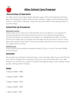

# **After-School Care Program**

## **Hours & Days of Operation**

Our After-school care program begins Monday, August 15th and tentatively ends Friday, May 25th following the Sullivan School District calendar. It begins at SES dismissal time at 3:00 p.m. until 5:30 p.m. Monday - Friday. We pick up the kids on early dismissal days for no extra charge.

#### **School Pick Up Procedures**

#### Elementary School

Please make sure to inform your child's teacher of your enrollment in our program for dismissal procedures. We also provide the school an up-to-date list of participants. Teachers will dismiss the students to the lobby to our designated SDS table. Our After-School Care Leader picks up students from the lobby and escorts them to the van. Some days, there may be 2 trips made. The school provides supervision for the 2nd group until our Leader returns for them.

#### Middle School

These students will be picked up at approximately 3:20 p.m. in front of the main Middle School entrance.

## **Activities**

We provide every child with homework help, a snack, and water daily. If you would NOT like your child to complete their homework at SDS, you must communicate this to our staff. Children can choose from a variety of activities: board games, legos, crafts, reading, movies, puzzles, coloring, dance, free play.

## **Rates**

5 days a week =  $$80$ 

4 days a week =  $$68$ 

3 days a week =  $$54$ 

2 days a week =  $$38$ 

1 day a week =  $$20$